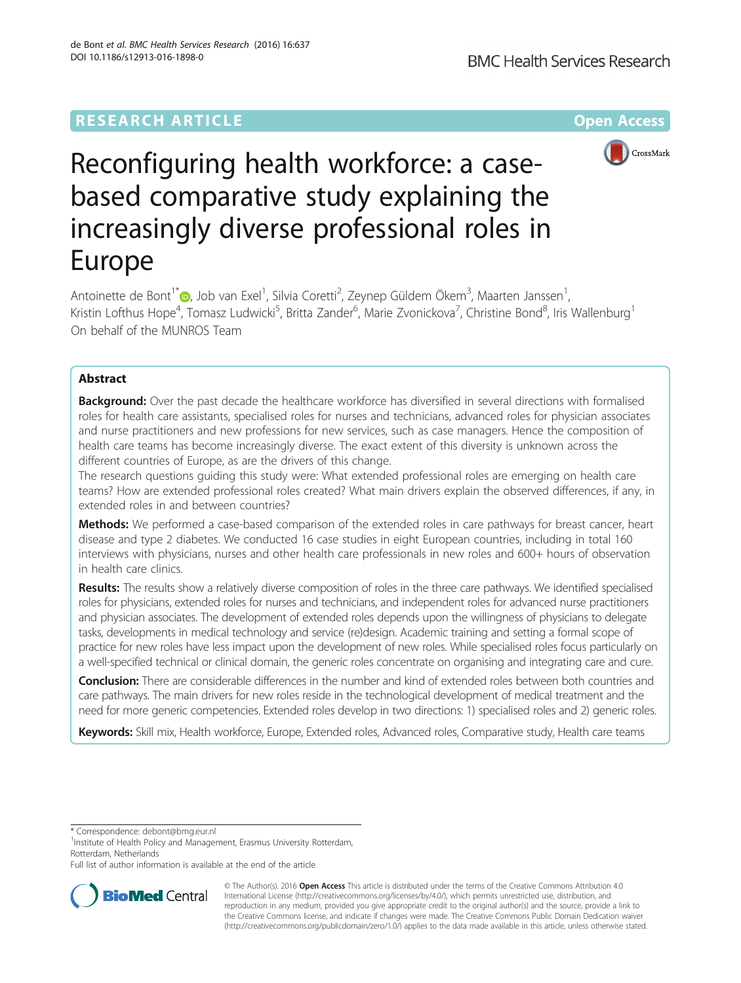# **RESEARCH ARTICLE External Structure Community Community Community Community Community Community Community Community**



# Reconfiguring health workforce: a casebased comparative study explaining the increasingly diverse professional roles in Europe

Antoinette de Bont<sup>1[\\*](http://orcid.org/0000-0002-0745-4537)</sup>®, Job van Exel<sup>1</sup>, Silvia Coretti<sup>2</sup>, Zeynep Güldem Ökem<sup>3</sup>, Maarten Janssen<sup>1</sup> , Kristin Lofthus Hope<sup>4</sup>, Tomasz Ludwicki<sup>5</sup>, Britta Zander<sup>6</sup>, Marie Zvonickova<sup>7</sup>, Christine Bond<sup>8</sup>, Iris Wallenburg<sup>1</sup> On behalf of the MUNROS Team

# Abstract

**Background:** Over the past decade the healthcare workforce has diversified in several directions with formalised roles for health care assistants, specialised roles for nurses and technicians, advanced roles for physician associates and nurse practitioners and new professions for new services, such as case managers. Hence the composition of health care teams has become increasingly diverse. The exact extent of this diversity is unknown across the different countries of Europe, as are the drivers of this change.

The research questions guiding this study were: What extended professional roles are emerging on health care teams? How are extended professional roles created? What main drivers explain the observed differences, if any, in extended roles in and between countries?

Methods: We performed a case-based comparison of the extended roles in care pathways for breast cancer, heart disease and type 2 diabetes. We conducted 16 case studies in eight European countries, including in total 160 interviews with physicians, nurses and other health care professionals in new roles and 600+ hours of observation in health care clinics.

Results: The results show a relatively diverse composition of roles in the three care pathways. We identified specialised roles for physicians, extended roles for nurses and technicians, and independent roles for advanced nurse practitioners and physician associates. The development of extended roles depends upon the willingness of physicians to delegate tasks, developments in medical technology and service (re)design. Academic training and setting a formal scope of practice for new roles have less impact upon the development of new roles. While specialised roles focus particularly on a well-specified technical or clinical domain, the generic roles concentrate on organising and integrating care and cure.

Conclusion: There are considerable differences in the number and kind of extended roles between both countries and care pathways. The main drivers for new roles reside in the technological development of medical treatment and the need for more generic competencies. Extended roles develop in two directions: 1) specialised roles and 2) generic roles.

Keywords: Skill mix, Health workforce, Europe, Extended roles, Advanced roles, Comparative study, Health care teams

\* Correspondence: [debont@bmg.eur.nl](mailto:debont@bmg.eur.nl) <sup>1</sup>

<sup>1</sup>Institute of Health Policy and Management, Erasmus University Rotterdam, Rotterdam, Netherlands

Full list of author information is available at the end of the article



© The Author(s). 2016 Open Access This article is distributed under the terms of the Creative Commons Attribution 4.0 International License [\(http://creativecommons.org/licenses/by/4.0/](http://creativecommons.org/licenses/by/4.0/)), which permits unrestricted use, distribution, and reproduction in any medium, provided you give appropriate credit to the original author(s) and the source, provide a link to the Creative Commons license, and indicate if changes were made. The Creative Commons Public Domain Dedication waiver [\(http://creativecommons.org/publicdomain/zero/1.0/](http://creativecommons.org/publicdomain/zero/1.0/)) applies to the data made available in this article, unless otherwise stated.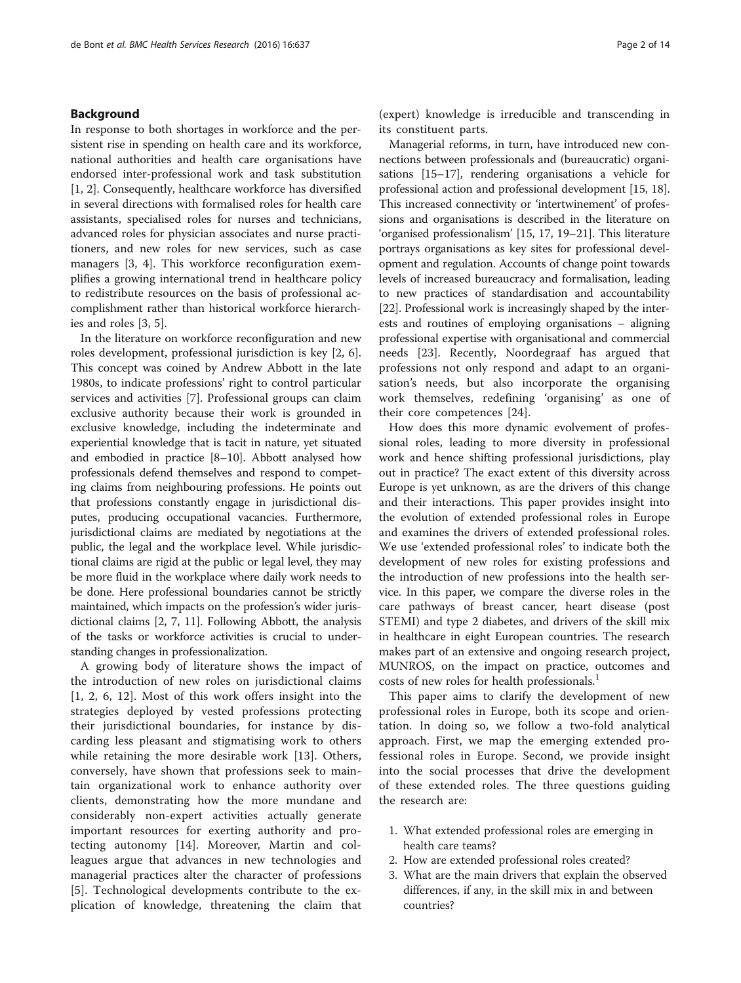# Background

In response to both shortages in workforce and the persistent rise in spending on health care and its workforce, national authorities and health care organisations have endorsed inter-professional work and task substitution [[1, 2\]](#page-12-0). Consequently, healthcare workforce has diversified in several directions with formalised roles for health care assistants, specialised roles for nurses and technicians, advanced roles for physician associates and nurse practitioners, and new roles for new services, such as case managers [\[3](#page-12-0), [4\]](#page-12-0). This workforce reconfiguration exemplifies a growing international trend in healthcare policy to redistribute resources on the basis of professional accomplishment rather than historical workforce hierarchies and roles [[3, 5\]](#page-12-0).

In the literature on workforce reconfiguration and new roles development, professional jurisdiction is key [[2, 6](#page-12-0)]. This concept was coined by Andrew Abbott in the late 1980s, to indicate professions' right to control particular services and activities [[7\]](#page-12-0). Professional groups can claim exclusive authority because their work is grounded in exclusive knowledge, including the indeterminate and experiential knowledge that is tacit in nature, yet situated and embodied in practice [\[8](#page-12-0)–[10](#page-12-0)]. Abbott analysed how professionals defend themselves and respond to competing claims from neighbouring professions. He points out that professions constantly engage in jurisdictional disputes, producing occupational vacancies. Furthermore, jurisdictional claims are mediated by negotiations at the public, the legal and the workplace level. While jurisdictional claims are rigid at the public or legal level, they may be more fluid in the workplace where daily work needs to be done. Here professional boundaries cannot be strictly maintained, which impacts on the profession's wider jurisdictional claims [\[2](#page-12-0), [7](#page-12-0), [11\]](#page-12-0). Following Abbott, the analysis of the tasks or workforce activities is crucial to understanding changes in professionalization.

A growing body of literature shows the impact of the introduction of new roles on jurisdictional claims [[1, 2](#page-12-0), [6, 12](#page-12-0)]. Most of this work offers insight into the strategies deployed by vested professions protecting their jurisdictional boundaries, for instance by discarding less pleasant and stigmatising work to others while retaining the more desirable work [[13\]](#page-12-0). Others, conversely, have shown that professions seek to maintain organizational work to enhance authority over clients, demonstrating how the more mundane and considerably non-expert activities actually generate important resources for exerting authority and protecting autonomy [\[14](#page-12-0)]. Moreover, Martin and colleagues argue that advances in new technologies and managerial practices alter the character of professions [[5\]](#page-12-0). Technological developments contribute to the explication of knowledge, threatening the claim that

(expert) knowledge is irreducible and transcending in its constituent parts.

Managerial reforms, in turn, have introduced new connections between professionals and (bureaucratic) organisations [[15](#page-12-0)–[17\]](#page-12-0), rendering organisations a vehicle for professional action and professional development [\[15, 18](#page-12-0)]. This increased connectivity or 'intertwinement' of professions and organisations is described in the literature on 'organised professionalism' [\[15, 17, 19](#page-12-0)–[21\]](#page-12-0). This literature portrays organisations as key sites for professional development and regulation. Accounts of change point towards levels of increased bureaucracy and formalisation, leading to new practices of standardisation and accountability [[22](#page-12-0)]. Professional work is increasingly shaped by the interests and routines of employing organisations – aligning professional expertise with organisational and commercial needs [[23\]](#page-12-0). Recently, Noordegraaf has argued that professions not only respond and adapt to an organisation's needs, but also incorporate the organising work themselves, redefining 'organising' as one of their core competences [\[24](#page-12-0)].

How does this more dynamic evolvement of professional roles, leading to more diversity in professional work and hence shifting professional jurisdictions, play out in practice? The exact extent of this diversity across Europe is yet unknown, as are the drivers of this change and their interactions. This paper provides insight into the evolution of extended professional roles in Europe and examines the drivers of extended professional roles. We use 'extended professional roles' to indicate both the development of new roles for existing professions and the introduction of new professions into the health service. In this paper, we compare the diverse roles in the care pathways of breast cancer, heart disease (post STEMI) and type 2 diabetes, and drivers of the skill mix in healthcare in eight European countries. The research makes part of an extensive and ongoing research project, MUNROS, on the impact on practice, outcomes and costs of new roles for health professionals.<sup>1</sup>

This paper aims to clarify the development of new professional roles in Europe, both its scope and orientation. In doing so, we follow a two-fold analytical approach. First, we map the emerging extended professional roles in Europe. Second, we provide insight into the social processes that drive the development of these extended roles. The three questions guiding the research are:

- 1. What extended professional roles are emerging in health care teams?
- 2. How are extended professional roles created?
- 3. What are the main drivers that explain the observed differences, if any, in the skill mix in and between countries?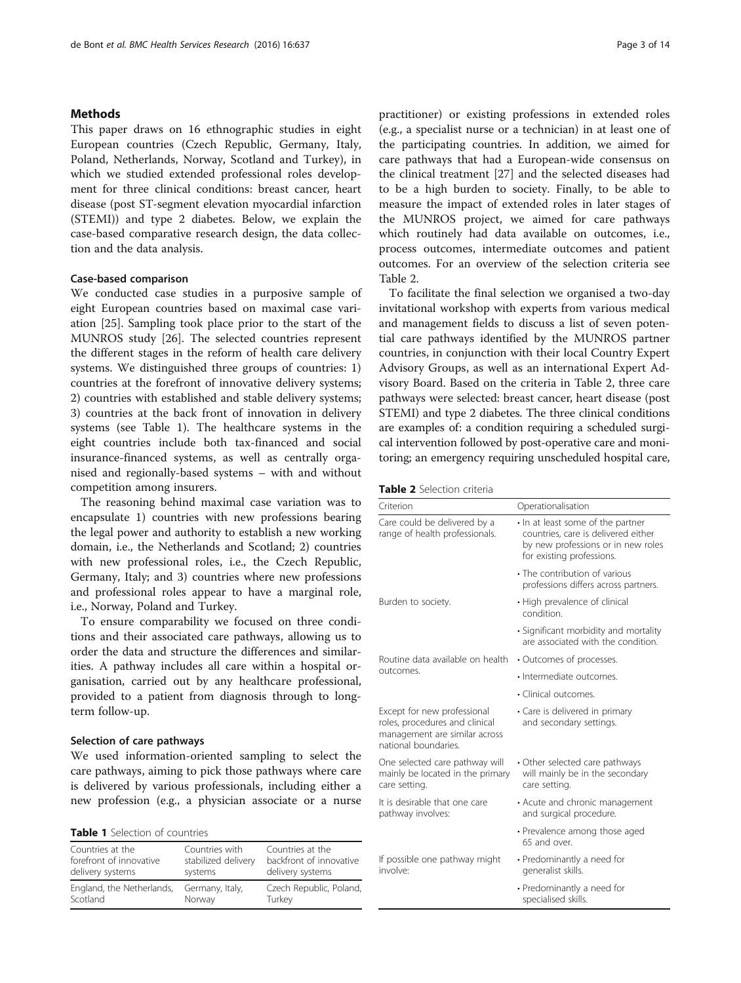# Methods

This paper draws on 16 ethnographic studies in eight European countries (Czech Republic, Germany, Italy, Poland, Netherlands, Norway, Scotland and Turkey), in which we studied extended professional roles development for three clinical conditions: breast cancer, heart disease (post ST-segment elevation myocardial infarction (STEMI)) and type 2 diabetes. Below, we explain the case-based comparative research design, the data collection and the data analysis.

# Case-based comparison

We conducted case studies in a purposive sample of eight European countries based on maximal case variation [\[25](#page-12-0)]. Sampling took place prior to the start of the MUNROS study [\[26\]](#page-12-0). The selected countries represent the different stages in the reform of health care delivery systems. We distinguished three groups of countries: 1) countries at the forefront of innovative delivery systems; 2) countries with established and stable delivery systems; 3) countries at the back front of innovation in delivery systems (see Table 1). The healthcare systems in the eight countries include both tax-financed and social insurance-financed systems, as well as centrally organised and regionally-based systems – with and without competition among insurers.

The reasoning behind maximal case variation was to encapsulate 1) countries with new professions bearing the legal power and authority to establish a new working domain, i.e., the Netherlands and Scotland; 2) countries with new professional roles, i.e., the Czech Republic, Germany, Italy; and 3) countries where new professions and professional roles appear to have a marginal role, i.e., Norway, Poland and Turkey.

To ensure comparability we focused on three conditions and their associated care pathways, allowing us to order the data and structure the differences and similarities. A pathway includes all care within a hospital organisation, carried out by any healthcare professional, provided to a patient from diagnosis through to longterm follow-up.

# Selection of care pathways

We used information-oriented sampling to select the care pathways, aiming to pick those pathways where care is delivered by various professionals, including either a new profession (e.g., a physician associate or a nurse

Table 1 Selection of countries

| Countries at the          | Countries with      | Countries at the        |
|---------------------------|---------------------|-------------------------|
| forefront of innovative   | stabilized delivery | backfront of innovative |
| delivery systems          | systems             | delivery systems        |
| England, the Netherlands, | Germany, Italy,     | Czech Republic, Poland, |
| Scotland                  | Norway              | Turkey                  |

practitioner) or existing professions in extended roles (e.g., a specialist nurse or a technician) in at least one of the participating countries. In addition, we aimed for care pathways that had a European-wide consensus on the clinical treatment [\[27](#page-12-0)] and the selected diseases had to be a high burden to society. Finally, to be able to measure the impact of extended roles in later stages of the MUNROS project, we aimed for care pathways which routinely had data available on outcomes, i.e., process outcomes, intermediate outcomes and patient outcomes. For an overview of the selection criteria see Table 2.

To facilitate the final selection we organised a two-day invitational workshop with experts from various medical and management fields to discuss a list of seven potential care pathways identified by the MUNROS partner countries, in conjunction with their local Country Expert Advisory Groups, as well as an international Expert Advisory Board. Based on the criteria in Table 2, three care pathways were selected: breast cancer, heart disease (post STEMI) and type 2 diabetes. The three clinical conditions are examples of: a condition requiring a scheduled surgical intervention followed by post-operative care and monitoring; an emergency requiring unscheduled hospital care,

|  | <b>Table 2</b> Selection criteria |  |
|--|-----------------------------------|--|
|--|-----------------------------------|--|

| Criterion                                                                                                              | Operationalisation                                                                                                                          |  |  |  |
|------------------------------------------------------------------------------------------------------------------------|---------------------------------------------------------------------------------------------------------------------------------------------|--|--|--|
| Care could be delivered by a<br>range of health professionals.                                                         | . In at least some of the partner<br>countries, care is delivered either<br>by new professions or in new roles<br>for existing professions. |  |  |  |
|                                                                                                                        | • The contribution of various<br>professions differs across partners.                                                                       |  |  |  |
| Burden to society.                                                                                                     | • High prevalence of clinical<br>condition.                                                                                                 |  |  |  |
|                                                                                                                        | · Significant morbidity and mortality<br>are associated with the condition.                                                                 |  |  |  |
| Routine data available on health                                                                                       | • Outcomes of processes.                                                                                                                    |  |  |  |
| outcomes.                                                                                                              | · Intermediate outcomes.                                                                                                                    |  |  |  |
|                                                                                                                        | • Clinical outcomes.                                                                                                                        |  |  |  |
| Except for new professional<br>roles, procedures and clinical<br>management are similar across<br>national boundaries. | • Care is delivered in primary<br>and secondary settings.                                                                                   |  |  |  |
| One selected care pathway will<br>mainly be located in the primary<br>care setting.                                    | • Other selected care pathways<br>will mainly be in the secondary<br>care setting.                                                          |  |  |  |
| It is desirable that one care<br>pathway involves:                                                                     | • Acute and chronic management<br>and surgical procedure.                                                                                   |  |  |  |
|                                                                                                                        | • Prevalence among those aged<br>65 and over.                                                                                               |  |  |  |
| If possible one pathway might<br>involve:                                                                              | • Predominantly a need for<br>generalist skills.                                                                                            |  |  |  |
|                                                                                                                        | • Predominantly a need for<br>specialised skills.                                                                                           |  |  |  |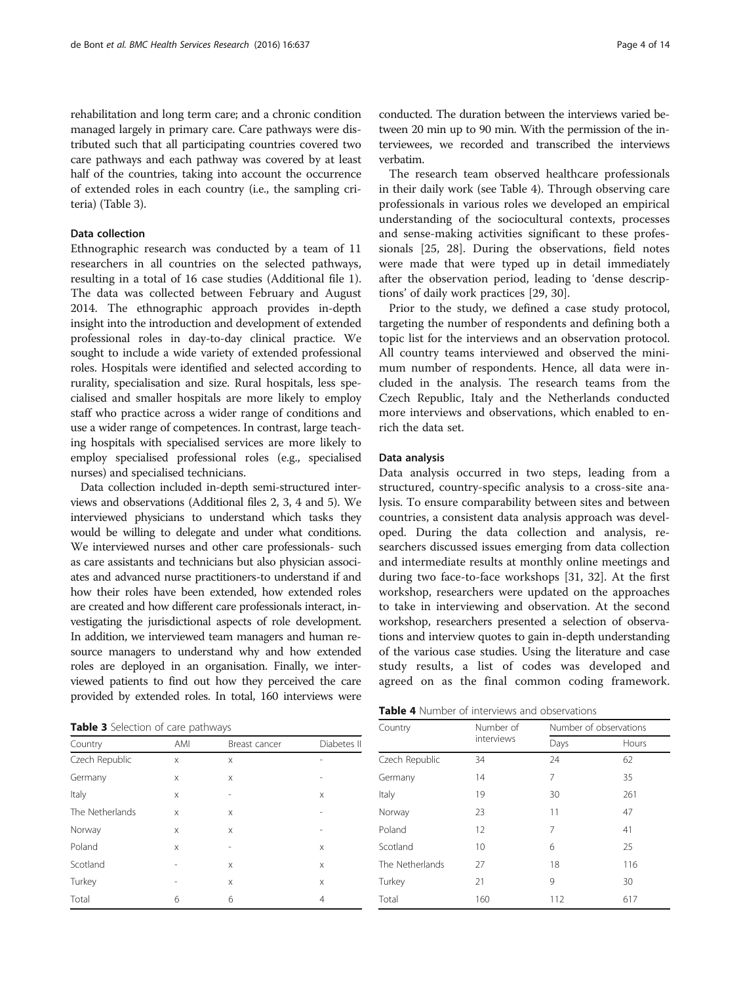rehabilitation and long term care; and a chronic condition managed largely in primary care. Care pathways were distributed such that all participating countries covered two care pathways and each pathway was covered by at least half of the countries, taking into account the occurrence of extended roles in each country (i.e., the sampling criteria) (Table 3).

# Data collection

Ethnographic research was conducted by a team of 11 researchers in all countries on the selected pathways, resulting in a total of 16 case studies (Additional file [1](#page-11-0)). The data was collected between February and August 2014. The ethnographic approach provides in-depth insight into the introduction and development of extended professional roles in day-to-day clinical practice. We sought to include a wide variety of extended professional roles. Hospitals were identified and selected according to rurality, specialisation and size. Rural hospitals, less specialised and smaller hospitals are more likely to employ staff who practice across a wider range of conditions and use a wider range of competences. In contrast, large teaching hospitals with specialised services are more likely to employ specialised professional roles (e.g., specialised nurses) and specialised technicians.

Data collection included in-depth semi-structured interviews and observations (Additional files [2](#page-11-0), [3](#page-11-0), [4](#page-11-0) and [5](#page-11-0)). We interviewed physicians to understand which tasks they would be willing to delegate and under what conditions. We interviewed nurses and other care professionals- such as care assistants and technicians but also physician associates and advanced nurse practitioners-to understand if and how their roles have been extended, how extended roles are created and how different care professionals interact, investigating the jurisdictional aspects of role development. In addition, we interviewed team managers and human resource managers to understand why and how extended roles are deployed in an organisation. Finally, we interviewed patients to find out how they perceived the care provided by extended roles. In total, 160 interviews were

Table 3 Selection of care pathways

| Country         | AMI | Breast cancer | Diabetes II |  |
|-----------------|-----|---------------|-------------|--|
| Czech Republic  | X   | X             |             |  |
| Germany         | X   | X             |             |  |
| Italy           | X   | ۰             | X           |  |
| The Netherlands | X   | X             |             |  |
| Norway          | X   | X             |             |  |
| Poland          | X   | ۰             | X           |  |
| Scotland        |     | X             | X           |  |
| Turkey          | -   | X             | X           |  |
| Total           | 6   | 6             | 4           |  |

conducted. The duration between the interviews varied between 20 min up to 90 min. With the permission of the interviewees, we recorded and transcribed the interviews verbatim.

The research team observed healthcare professionals in their daily work (see Table 4). Through observing care professionals in various roles we developed an empirical understanding of the sociocultural contexts, processes and sense-making activities significant to these professionals [\[25](#page-12-0), [28](#page-12-0)]. During the observations, field notes were made that were typed up in detail immediately after the observation period, leading to 'dense descriptions' of daily work practices [\[29](#page-12-0), [30\]](#page-12-0).

Prior to the study, we defined a case study protocol, targeting the number of respondents and defining both a topic list for the interviews and an observation protocol. All country teams interviewed and observed the minimum number of respondents. Hence, all data were included in the analysis. The research teams from the Czech Republic, Italy and the Netherlands conducted more interviews and observations, which enabled to enrich the data set.

#### Data analysis

Data analysis occurred in two steps, leading from a structured, country-specific analysis to a cross-site analysis. To ensure comparability between sites and between countries, a consistent data analysis approach was developed. During the data collection and analysis, researchers discussed issues emerging from data collection and intermediate results at monthly online meetings and during two face-to-face workshops [[31, 32\]](#page-12-0). At the first workshop, researchers were updated on the approaches to take in interviewing and observation. At the second workshop, researchers presented a selection of observations and interview quotes to gain in-depth understanding of the various case studies. Using the literature and case study results, a list of codes was developed and agreed on as the final common coding framework.

| Country         | Number of  |            | Number of observations |  |  |
|-----------------|------------|------------|------------------------|--|--|
|                 | interviews | Days       | Hours                  |  |  |
| Czech Republic  | 34         | 24         | 62                     |  |  |
| Germany         | 7<br>14    |            | 35                     |  |  |
| Italy           | 19         | 30         | 261                    |  |  |
| Norway          | 23         | 11         | 47                     |  |  |
| Poland          | 12         | 7<br>41    |                        |  |  |
| Scotland        | 10         | 6          | 25                     |  |  |
| The Netherlands | 27         | 18         | 116                    |  |  |
| Turkey          | 21         | 9          | 30                     |  |  |
| Total           | 160        | 112<br>617 |                        |  |  |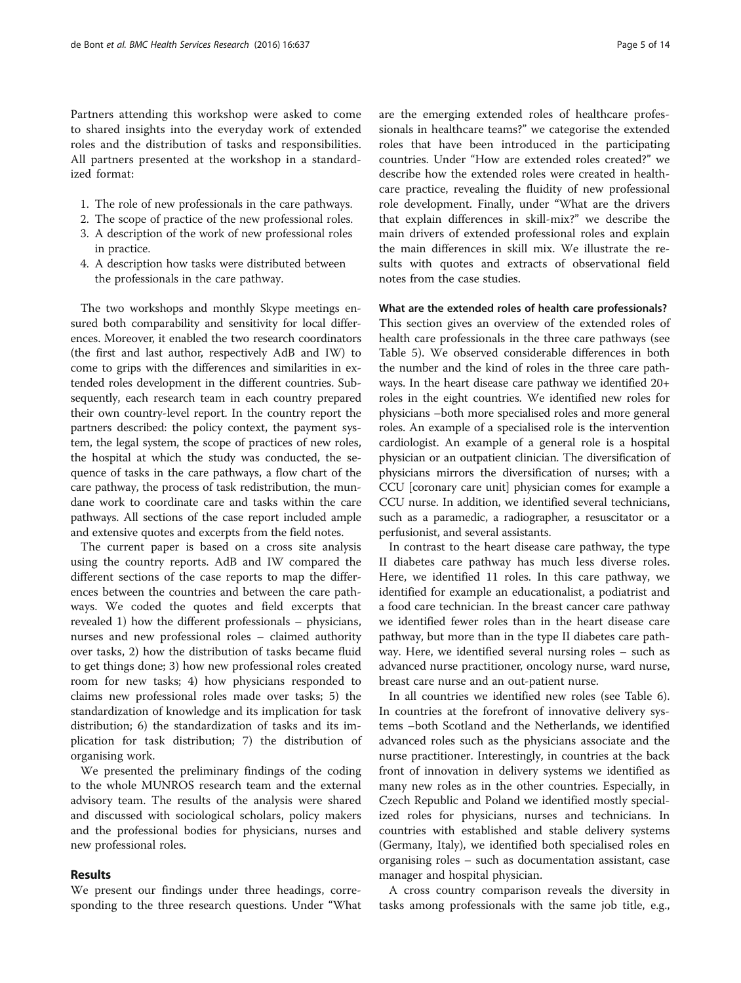Partners attending this workshop were asked to come to shared insights into the everyday work of extended roles and the distribution of tasks and responsibilities. All partners presented at the workshop in a standardized format:

- 1. The role of new professionals in the care pathways.
- 2. The scope of practice of the new professional roles. 3. A description of the work of new professional roles
- in practice.
- 4. A description how tasks were distributed between the professionals in the care pathway.

The two workshops and monthly Skype meetings ensured both comparability and sensitivity for local differences. Moreover, it enabled the two research coordinators (the first and last author, respectively AdB and IW) to come to grips with the differences and similarities in extended roles development in the different countries. Subsequently, each research team in each country prepared their own country-level report. In the country report the partners described: the policy context, the payment system, the legal system, the scope of practices of new roles, the hospital at which the study was conducted, the sequence of tasks in the care pathways, a flow chart of the care pathway, the process of task redistribution, the mundane work to coordinate care and tasks within the care pathways. All sections of the case report included ample and extensive quotes and excerpts from the field notes.

The current paper is based on a cross site analysis using the country reports. AdB and IW compared the different sections of the case reports to map the differences between the countries and between the care pathways. We coded the quotes and field excerpts that revealed 1) how the different professionals – physicians, nurses and new professional roles – claimed authority over tasks, 2) how the distribution of tasks became fluid to get things done; 3) how new professional roles created room for new tasks; 4) how physicians responded to claims new professional roles made over tasks; 5) the standardization of knowledge and its implication for task distribution; 6) the standardization of tasks and its implication for task distribution; 7) the distribution of organising work.

We presented the preliminary findings of the coding to the whole MUNROS research team and the external advisory team. The results of the analysis were shared and discussed with sociological scholars, policy makers and the professional bodies for physicians, nurses and new professional roles.

# Results

We present our findings under three headings, corresponding to the three research questions. Under "What are the emerging extended roles of healthcare professionals in healthcare teams?" we categorise the extended roles that have been introduced in the participating countries. Under "How are extended roles created?" we describe how the extended roles were created in healthcare practice, revealing the fluidity of new professional role development. Finally, under "What are the drivers that explain differences in skill-mix?" we describe the main drivers of extended professional roles and explain the main differences in skill mix. We illustrate the results with quotes and extracts of observational field notes from the case studies.

What are the extended roles of health care professionals? This section gives an overview of the extended roles of health care professionals in the three care pathways (see Table [5\)](#page-5-0). We observed considerable differences in both the number and the kind of roles in the three care pathways. In the heart disease care pathway we identified 20+ roles in the eight countries. We identified new roles for physicians –both more specialised roles and more general roles. An example of a specialised role is the intervention cardiologist. An example of a general role is a hospital physician or an outpatient clinician. The diversification of physicians mirrors the diversification of nurses; with a CCU [coronary care unit] physician comes for example a CCU nurse. In addition, we identified several technicians, such as a paramedic, a radiographer, a resuscitator or a perfusionist, and several assistants.

In contrast to the heart disease care pathway, the type II diabetes care pathway has much less diverse roles. Here, we identified 11 roles. In this care pathway, we identified for example an educationalist, a podiatrist and a food care technician. In the breast cancer care pathway we identified fewer roles than in the heart disease care pathway, but more than in the type II diabetes care pathway. Here, we identified several nursing roles – such as advanced nurse practitioner, oncology nurse, ward nurse, breast care nurse and an out-patient nurse.

In all countries we identified new roles (see Table [6](#page-6-0)). In countries at the forefront of innovative delivery systems –both Scotland and the Netherlands, we identified advanced roles such as the physicians associate and the nurse practitioner. Interestingly, in countries at the back front of innovation in delivery systems we identified as many new roles as in the other countries. Especially, in Czech Republic and Poland we identified mostly specialized roles for physicians, nurses and technicians. In countries with established and stable delivery systems (Germany, Italy), we identified both specialised roles en organising roles – such as documentation assistant, case manager and hospital physician.

A cross country comparison reveals the diversity in tasks among professionals with the same job title, e.g.,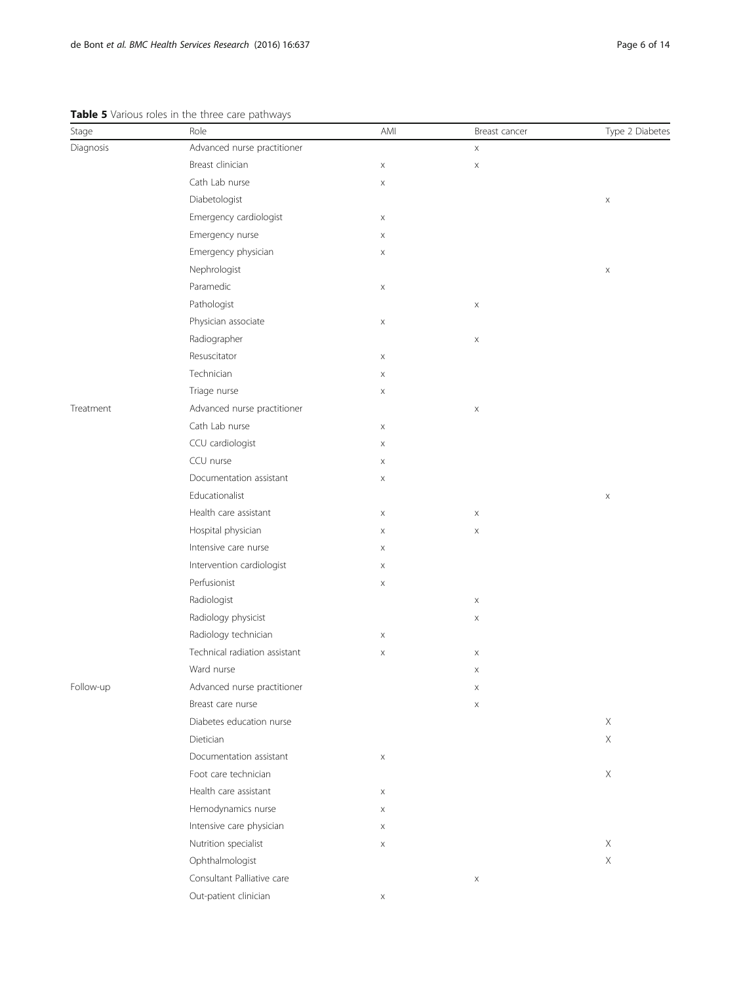## <span id="page-5-0"></span>Table 5 Various roles in the three care pathways

| Stage     | $\bullet$ randas roles in the time eare patingle<br>Role | AMI | Breast cancer             | Type 2 Diabetes |
|-----------|----------------------------------------------------------|-----|---------------------------|-----------------|
| Diagnosis | Advanced nurse practitioner                              |     | $\mathsf X$               |                 |
|           | Breast clinician                                         | X   | $\mathsf X$               |                 |
|           | Cath Lab nurse                                           | X   |                           |                 |
|           | Diabetologist                                            |     |                           | X               |
|           | Emergency cardiologist                                   | X   |                           |                 |
|           | Emergency nurse                                          | X   |                           |                 |
|           | Emergency physician                                      | X   |                           |                 |
|           | Nephrologist                                             |     |                           | $\mathsf X$     |
|           | Paramedic                                                | X   |                           |                 |
|           | Pathologist                                              |     | $\boldsymbol{\times}$     |                 |
|           | Physician associate                                      | X   |                           |                 |
|           | Radiographer                                             |     | X                         |                 |
|           | Resuscitator                                             | X   |                           |                 |
|           | Technician                                               | X   |                           |                 |
|           | Triage nurse                                             | X   |                           |                 |
| Treatment | Advanced nurse practitioner                              |     | $\boldsymbol{\times}$     |                 |
|           | Cath Lab nurse                                           | X   |                           |                 |
|           | CCU cardiologist                                         | X   |                           |                 |
|           | CCU nurse                                                | X   |                           |                 |
|           | Documentation assistant                                  | X   |                           |                 |
|           | Educationalist                                           |     |                           | X               |
|           | Health care assistant                                    | Χ   | $\boldsymbol{\times}$     |                 |
|           | Hospital physician                                       | X   | X                         |                 |
|           | Intensive care nurse                                     | X   |                           |                 |
|           | Intervention cardiologist                                | Χ   |                           |                 |
|           | Perfusionist                                             | X   |                           |                 |
|           | Radiologist                                              |     | X                         |                 |
|           | Radiology physicist                                      |     | $\mathsf X$               |                 |
|           | Radiology technician                                     | X   |                           |                 |
|           | Technical radiation assistant                            | X   | X                         |                 |
|           | Ward nurse                                               |     | $\boldsymbol{\mathsf{X}}$ |                 |
| Follow-up | Advanced nurse practitioner                              |     | $\mathsf X$               |                 |
|           | Breast care nurse                                        |     | X                         |                 |
|           | Diabetes education nurse                                 |     |                           | X               |
|           | Dietician                                                |     |                           | X               |
|           | Documentation assistant                                  | X   |                           |                 |
|           | Foot care technician                                     |     |                           | $\mathsf X$     |
|           | Health care assistant                                    | X   |                           |                 |
|           | Hemodynamics nurse                                       | X   |                           |                 |
|           | Intensive care physician                                 | X   |                           |                 |
|           | Nutrition specialist                                     | X   |                           | X               |
|           | Ophthalmologist                                          |     |                           | $\mathsf X$     |
|           | Consultant Palliative care                               |     | X                         |                 |
|           | Out-patient clinician                                    | X   |                           |                 |
|           |                                                          |     |                           |                 |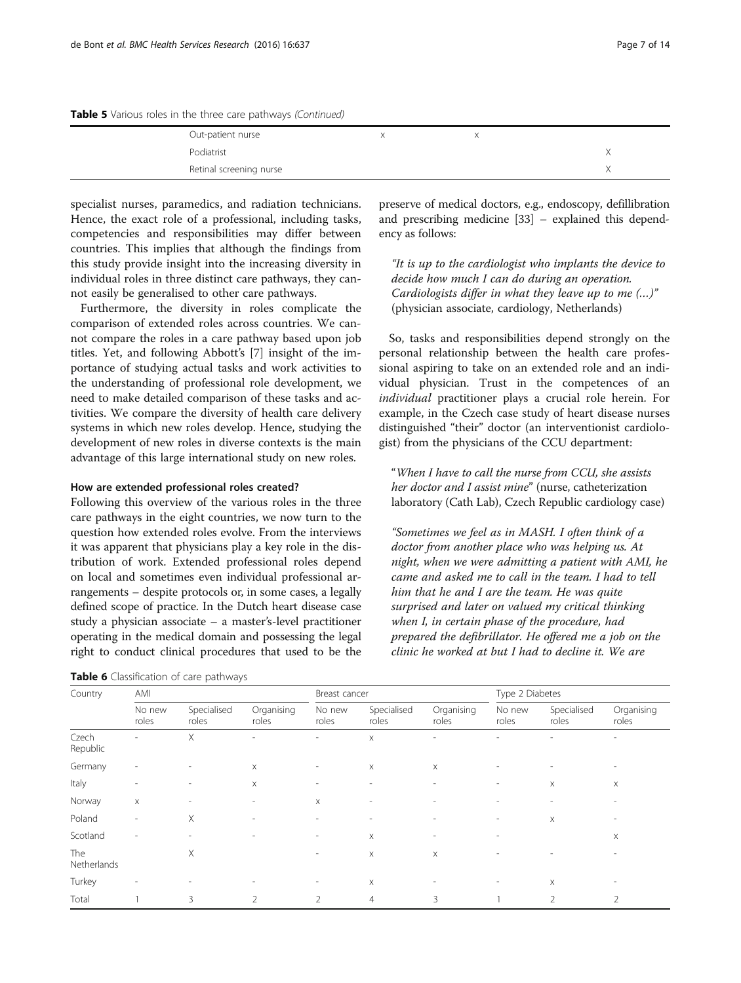<span id="page-6-0"></span>Table 5 Various roles in the three care pathways (Continued)

| Out-patient nurse       |  |  |
|-------------------------|--|--|
| Podiatrist              |  |  |
| Retinal screening nurse |  |  |

specialist nurses, paramedics, and radiation technicians. Hence, the exact role of a professional, including tasks, competencies and responsibilities may differ between countries. This implies that although the findings from this study provide insight into the increasing diversity in individual roles in three distinct care pathways, they cannot easily be generalised to other care pathways.

Furthermore, the diversity in roles complicate the comparison of extended roles across countries. We cannot compare the roles in a care pathway based upon job titles. Yet, and following Abbott's [[7\]](#page-12-0) insight of the importance of studying actual tasks and work activities to the understanding of professional role development, we need to make detailed comparison of these tasks and activities. We compare the diversity of health care delivery systems in which new roles develop. Hence, studying the development of new roles in diverse contexts is the main advantage of this large international study on new roles.

## How are extended professional roles created?

Following this overview of the various roles in the three care pathways in the eight countries, we now turn to the question how extended roles evolve. From the interviews it was apparent that physicians play a key role in the distribution of work. Extended professional roles depend on local and sometimes even individual professional arrangements – despite protocols or, in some cases, a legally defined scope of practice. In the Dutch heart disease case study a physician associate – a master's-level practitioner operating in the medical domain and possessing the legal right to conduct clinical procedures that used to be the

Table 6 Classification of care pathways

preserve of medical doctors, e.g., endoscopy, defillibration and prescribing medicine [[33](#page-12-0)] – explained this dependency as follows:

"It is up to the cardiologist who implants the device to decide how much I can do during an operation. Cardiologists differ in what they leave up to me (…)" (physician associate, cardiology, Netherlands)

So, tasks and responsibilities depend strongly on the personal relationship between the health care professional aspiring to take on an extended role and an individual physician. Trust in the competences of an individual practitioner plays a crucial role herein. For example, in the Czech case study of heart disease nurses distinguished "their" doctor (an interventionist cardiologist) from the physicians of the CCU department:

"When I have to call the nurse from CCU, she assists her doctor and I assist mine" (nurse, catheterization laboratory (Cath Lab), Czech Republic cardiology case)

"Sometimes we feel as in MASH. I often think of a doctor from another place who was helping us. At night, when we were admitting a patient with AMI, he came and asked me to call in the team. I had to tell him that he and I are the team. He was quite surprised and later on valued my critical thinking when I, in certain phase of the procedure, had prepared the defibrillator. He offered me a job on the clinic he worked at but I had to decline it. We are

| Country            | AMI                      |                          | Breast cancer            |                          |                          | Type 2 Diabetes          |                          |                      |                          |
|--------------------|--------------------------|--------------------------|--------------------------|--------------------------|--------------------------|--------------------------|--------------------------|----------------------|--------------------------|
|                    | No new<br>roles          | Specialised<br>roles     | Organising<br>roles      | No new<br>roles          | Specialised<br>roles     | Organising<br>roles      | No new<br>roles          | Specialised<br>roles | Organising<br>roles      |
| Czech<br>Republic  | $\overline{\phantom{a}}$ | X                        | $\overline{\phantom{a}}$ | $\overline{\phantom{a}}$ | $\times$                 | $\overline{\phantom{a}}$ | $\overline{\phantom{a}}$ | ٠                    | -                        |
| Germany            | $\overline{\phantom{0}}$ | $\overline{\phantom{a}}$ | X                        | $\overline{\phantom{a}}$ | X                        | $\times$                 | $\overline{\phantom{a}}$ |                      |                          |
| Italy              | $\overline{a}$           | $\overline{\phantom{a}}$ | X                        | ٠                        | $\overline{\phantom{a}}$ | $\overline{\phantom{a}}$ | $\overline{\phantom{a}}$ | X                    | X                        |
| Norway             | $\boldsymbol{\times}$    | $\overline{\phantom{a}}$ | $\overline{\phantom{a}}$ | $\times$                 | $\overline{\phantom{a}}$ | $\overline{\phantom{a}}$ | ۰                        |                      | ۰.                       |
| Poland             | $\overline{\phantom{0}}$ | X                        | $\overline{\phantom{a}}$ | $\overline{\phantom{a}}$ | $\overline{\phantom{a}}$ | $\overline{\phantom{a}}$ | $\qquad \qquad$          | X                    | ۰.                       |
| Scotland           | $\overline{\phantom{a}}$ |                          |                          | ٠                        | $\boldsymbol{\times}$    | $\overline{\phantom{a}}$ | $\overline{\phantom{a}}$ |                      | X                        |
| The<br>Netherlands |                          | X                        |                          | $\overline{\phantom{a}}$ | $\boldsymbol{\times}$    | X                        |                          |                      |                          |
| Turkey             | $\overline{\phantom{a}}$ | $\overline{\phantom{a}}$ | $\overline{\phantom{a}}$ | $\overline{\phantom{a}}$ | $\times$                 | $\overline{\phantom{a}}$ | $\overline{\phantom{a}}$ | X                    | $\overline{\phantom{a}}$ |
| Total              |                          | 3                        | $\mathfrak{D}$           | $\mathcal{P}$            | $\overline{4}$           | 3                        |                          | $\overline{2}$       | 2                        |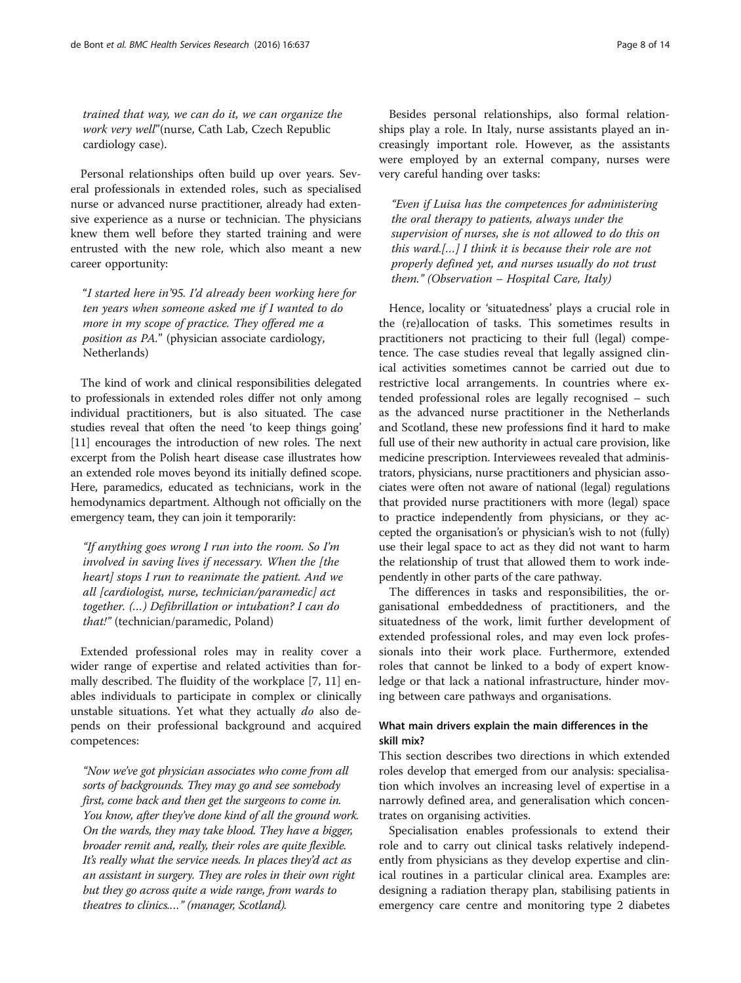trained that way, we can do it, we can organize the work very well"(nurse, Cath Lab, Czech Republic cardiology case).

Personal relationships often build up over years. Several professionals in extended roles, such as specialised nurse or advanced nurse practitioner, already had extensive experience as a nurse or technician. The physicians knew them well before they started training and were entrusted with the new role, which also meant a new career opportunity:

"I started here in'95. I'd already been working here for ten years when someone asked me if I wanted to do more in my scope of practice. They offered me a position as PA." (physician associate cardiology, Netherlands)

The kind of work and clinical responsibilities delegated to professionals in extended roles differ not only among individual practitioners, but is also situated. The case studies reveal that often the need 'to keep things going' [[11](#page-12-0)] encourages the introduction of new roles. The next excerpt from the Polish heart disease case illustrates how an extended role moves beyond its initially defined scope. Here, paramedics, educated as technicians, work in the hemodynamics department. Although not officially on the emergency team, they can join it temporarily:

"If anything goes wrong I run into the room. So I'm involved in saving lives if necessary. When the [the heart] stops I run to reanimate the patient. And we all [cardiologist, nurse, technician/paramedic] act together. (…) Defibrillation or intubation? I can do that!" (technician/paramedic, Poland)

Extended professional roles may in reality cover a wider range of expertise and related activities than formally described. The fluidity of the workplace [\[7, 11\]](#page-12-0) enables individuals to participate in complex or clinically unstable situations. Yet what they actually do also depends on their professional background and acquired competences:

"Now we've got physician associates who come from all sorts of backgrounds. They may go and see somebody first, come back and then get the surgeons to come in. You know, after they've done kind of all the ground work. On the wards, they may take blood. They have a bigger, broader remit and, really, their roles are quite flexible. It's really what the service needs. In places they'd act as an assistant in surgery. They are roles in their own right but they go across quite a wide range, from wards to theatres to clinics.…" (manager, Scotland).

Besides personal relationships, also formal relationships play a role. In Italy, nurse assistants played an increasingly important role. However, as the assistants were employed by an external company, nurses were very careful handing over tasks:

"Even if Luisa has the competences for administering the oral therapy to patients, always under the supervision of nurses, she is not allowed to do this on this ward.[…] I think it is because their role are not properly defined yet, and nurses usually do not trust them." (Observation – Hospital Care, Italy)

Hence, locality or 'situatedness' plays a crucial role in the (re)allocation of tasks. This sometimes results in practitioners not practicing to their full (legal) competence. The case studies reveal that legally assigned clinical activities sometimes cannot be carried out due to restrictive local arrangements. In countries where extended professional roles are legally recognised – such as the advanced nurse practitioner in the Netherlands and Scotland, these new professions find it hard to make full use of their new authority in actual care provision, like medicine prescription. Interviewees revealed that administrators, physicians, nurse practitioners and physician associates were often not aware of national (legal) regulations that provided nurse practitioners with more (legal) space to practice independently from physicians, or they accepted the organisation's or physician's wish to not (fully) use their legal space to act as they did not want to harm the relationship of trust that allowed them to work independently in other parts of the care pathway.

The differences in tasks and responsibilities, the organisational embeddedness of practitioners, and the situatedness of the work, limit further development of extended professional roles, and may even lock professionals into their work place. Furthermore, extended roles that cannot be linked to a body of expert knowledge or that lack a national infrastructure, hinder moving between care pathways and organisations.

# What main drivers explain the main differences in the skill mix?

This section describes two directions in which extended roles develop that emerged from our analysis: specialisation which involves an increasing level of expertise in a narrowly defined area, and generalisation which concentrates on organising activities.

Specialisation enables professionals to extend their role and to carry out clinical tasks relatively independently from physicians as they develop expertise and clinical routines in a particular clinical area. Examples are: designing a radiation therapy plan, stabilising patients in emergency care centre and monitoring type 2 diabetes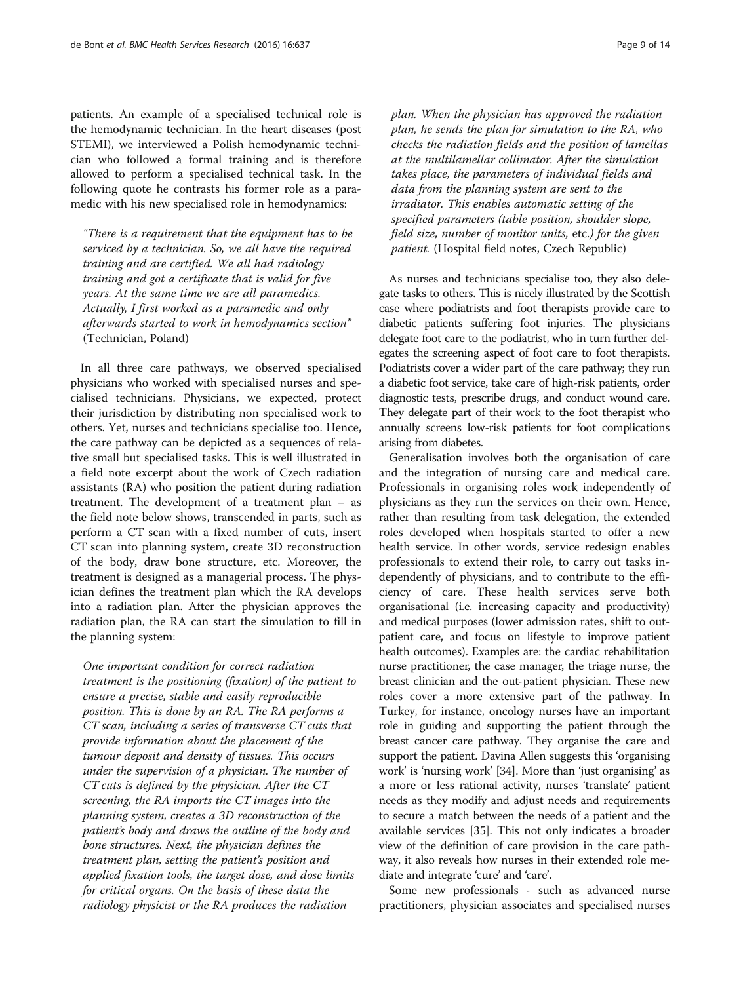patients. An example of a specialised technical role is the hemodynamic technician. In the heart diseases (post STEMI), we interviewed a Polish hemodynamic technician who followed a formal training and is therefore allowed to perform a specialised technical task. In the following quote he contrasts his former role as a paramedic with his new specialised role in hemodynamics:

"There is a requirement that the equipment has to be serviced by a technician. So, we all have the required training and are certified. We all had radiology training and got a certificate that is valid for five years. At the same time we are all paramedics. Actually, I first worked as a paramedic and only afterwards started to work in hemodynamics section" (Technician, Poland)

In all three care pathways, we observed specialised physicians who worked with specialised nurses and specialised technicians. Physicians, we expected, protect their jurisdiction by distributing non specialised work to others. Yet, nurses and technicians specialise too. Hence, the care pathway can be depicted as a sequences of relative small but specialised tasks. This is well illustrated in a field note excerpt about the work of Czech radiation assistants (RA) who position the patient during radiation treatment. The development of a treatment plan – as the field note below shows, transcended in parts, such as perform a CT scan with a fixed number of cuts, insert CT scan into planning system, create 3D reconstruction of the body, draw bone structure, etc. Moreover, the treatment is designed as a managerial process. The physician defines the treatment plan which the RA develops into a radiation plan. After the physician approves the radiation plan, the RA can start the simulation to fill in the planning system:

One important condition for correct radiation treatment is the positioning (fixation) of the patient to ensure a precise, stable and easily reproducible position. This is done by an RA. The RA performs a CT scan, including a series of transverse CT cuts that provide information about the placement of the tumour deposit and density of tissues. This occurs under the supervision of a physician. The number of CT cuts is defined by the physician. After the CT screening, the RA imports the CT images into the planning system, creates a 3D reconstruction of the patient's body and draws the outline of the body and bone structures. Next, the physician defines the treatment plan, setting the patient's position and applied fixation tools, the target dose, and dose limits for critical organs. On the basis of these data the radiology physicist or the RA produces the radiation

plan. When the physician has approved the radiation plan, he sends the plan for simulation to the RA, who checks the radiation fields and the position of lamellas at the multilamellar collimator. After the simulation takes place, the parameters of individual fields and data from the planning system are sent to the irradiator. This enables automatic setting of the specified parameters (table position, shoulder slope, field size, number of monitor units, etc.) for the given patient. (Hospital field notes, Czech Republic)

As nurses and technicians specialise too, they also delegate tasks to others. This is nicely illustrated by the Scottish case where podiatrists and foot therapists provide care to diabetic patients suffering foot injuries. The physicians delegate foot care to the podiatrist, who in turn further delegates the screening aspect of foot care to foot therapists. Podiatrists cover a wider part of the care pathway; they run a diabetic foot service, take care of high-risk patients, order diagnostic tests, prescribe drugs, and conduct wound care. They delegate part of their work to the foot therapist who annually screens low-risk patients for foot complications arising from diabetes.

Generalisation involves both the organisation of care and the integration of nursing care and medical care. Professionals in organising roles work independently of physicians as they run the services on their own. Hence, rather than resulting from task delegation, the extended roles developed when hospitals started to offer a new health service. In other words, service redesign enables professionals to extend their role, to carry out tasks independently of physicians, and to contribute to the efficiency of care. These health services serve both organisational (i.e. increasing capacity and productivity) and medical purposes (lower admission rates, shift to outpatient care, and focus on lifestyle to improve patient health outcomes). Examples are: the cardiac rehabilitation nurse practitioner, the case manager, the triage nurse, the breast clinician and the out-patient physician. These new roles cover a more extensive part of the pathway. In Turkey, for instance, oncology nurses have an important role in guiding and supporting the patient through the breast cancer care pathway. They organise the care and support the patient. Davina Allen suggests this 'organising work' is 'nursing work' [[34](#page-12-0)]. More than 'just organising' as a more or less rational activity, nurses 'translate' patient needs as they modify and adjust needs and requirements to secure a match between the needs of a patient and the available services [[35\]](#page-12-0). This not only indicates a broader view of the definition of care provision in the care pathway, it also reveals how nurses in their extended role mediate and integrate 'cure' and 'care'.

Some new professionals - such as advanced nurse practitioners, physician associates and specialised nurses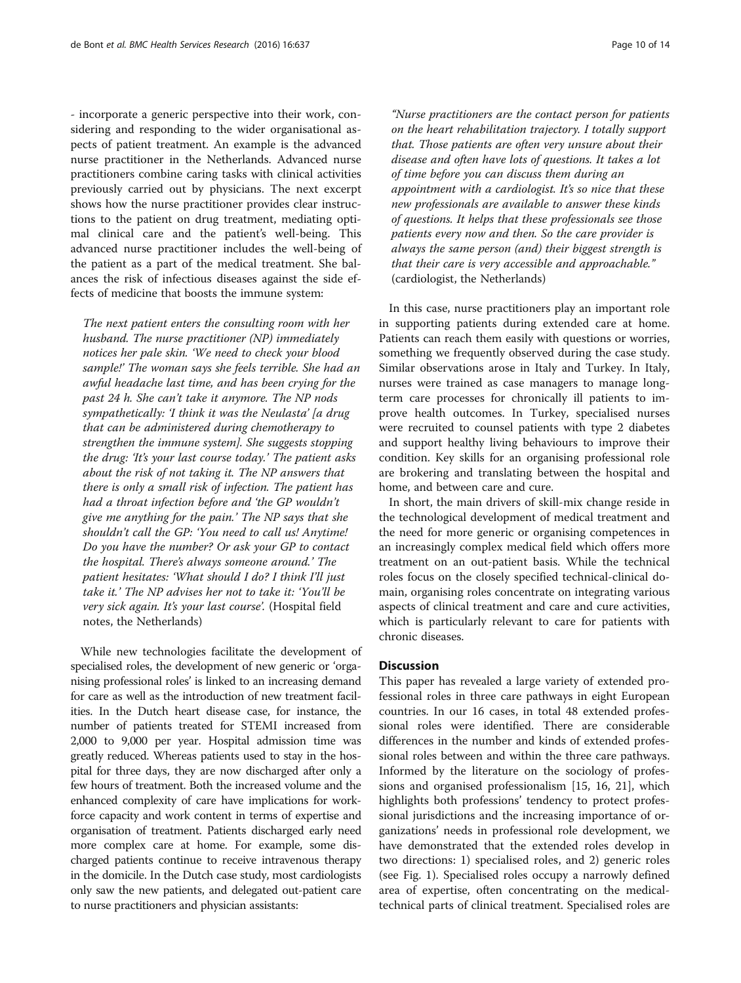- incorporate a generic perspective into their work, considering and responding to the wider organisational aspects of patient treatment. An example is the advanced nurse practitioner in the Netherlands. Advanced nurse practitioners combine caring tasks with clinical activities previously carried out by physicians. The next excerpt shows how the nurse practitioner provides clear instructions to the patient on drug treatment, mediating optimal clinical care and the patient's well-being. This advanced nurse practitioner includes the well-being of the patient as a part of the medical treatment. She balances the risk of infectious diseases against the side effects of medicine that boosts the immune system:

The next patient enters the consulting room with her husband. The nurse practitioner (NP) immediately notices her pale skin. 'We need to check your blood sample!' The woman says she feels terrible. She had an awful headache last time, and has been crying for the past 24 h. She can't take it anymore. The NP nods sympathetically: 'I think it was the Neulasta' [a drug that can be administered during chemotherapy to strengthen the immune system]. She suggests stopping the drug: 'It's your last course today.' The patient asks about the risk of not taking it. The NP answers that there is only a small risk of infection. The patient has had a throat infection before and 'the GP wouldn't give me anything for the pain.' The NP says that she shouldn't call the GP: 'You need to call us! Anytime! Do you have the number? Or ask your GP to contact the hospital. There's always someone around.' The patient hesitates: 'What should I do? I think I'll just take it.' The NP advises her not to take it: 'You'll be very sick again. It's your last course'. (Hospital field notes, the Netherlands)

While new technologies facilitate the development of specialised roles, the development of new generic or 'organising professional roles' is linked to an increasing demand for care as well as the introduction of new treatment facilities. In the Dutch heart disease case, for instance, the number of patients treated for STEMI increased from 2,000 to 9,000 per year. Hospital admission time was greatly reduced. Whereas patients used to stay in the hospital for three days, they are now discharged after only a few hours of treatment. Both the increased volume and the enhanced complexity of care have implications for workforce capacity and work content in terms of expertise and organisation of treatment. Patients discharged early need more complex care at home. For example, some discharged patients continue to receive intravenous therapy in the domicile. In the Dutch case study, most cardiologists only saw the new patients, and delegated out-patient care to nurse practitioners and physician assistants:

"Nurse practitioners are the contact person for patients on the heart rehabilitation trajectory. I totally support that. Those patients are often very unsure about their disease and often have lots of questions. It takes a lot of time before you can discuss them during an appointment with a cardiologist. It's so nice that these new professionals are available to answer these kinds of questions. It helps that these professionals see those patients every now and then. So the care provider is always the same person (and) their biggest strength is that their care is very accessible and approachable." (cardiologist, the Netherlands)

In this case, nurse practitioners play an important role in supporting patients during extended care at home. Patients can reach them easily with questions or worries, something we frequently observed during the case study. Similar observations arose in Italy and Turkey. In Italy, nurses were trained as case managers to manage longterm care processes for chronically ill patients to improve health outcomes. In Turkey, specialised nurses were recruited to counsel patients with type 2 diabetes and support healthy living behaviours to improve their condition. Key skills for an organising professional role are brokering and translating between the hospital and home, and between care and cure.

In short, the main drivers of skill-mix change reside in the technological development of medical treatment and the need for more generic or organising competences in an increasingly complex medical field which offers more treatment on an out-patient basis. While the technical roles focus on the closely specified technical-clinical domain, organising roles concentrate on integrating various aspects of clinical treatment and care and cure activities, which is particularly relevant to care for patients with chronic diseases.

# **Discussion**

This paper has revealed a large variety of extended professional roles in three care pathways in eight European countries. In our 16 cases, in total 48 extended professional roles were identified. There are considerable differences in the number and kinds of extended professional roles between and within the three care pathways. Informed by the literature on the sociology of professions and organised professionalism [[15, 16, 21\]](#page-12-0), which highlights both professions' tendency to protect professional jurisdictions and the increasing importance of organizations' needs in professional role development, we have demonstrated that the extended roles develop in two directions: 1) specialised roles, and 2) generic roles (see Fig. [1](#page-10-0)). Specialised roles occupy a narrowly defined area of expertise, often concentrating on the medicaltechnical parts of clinical treatment. Specialised roles are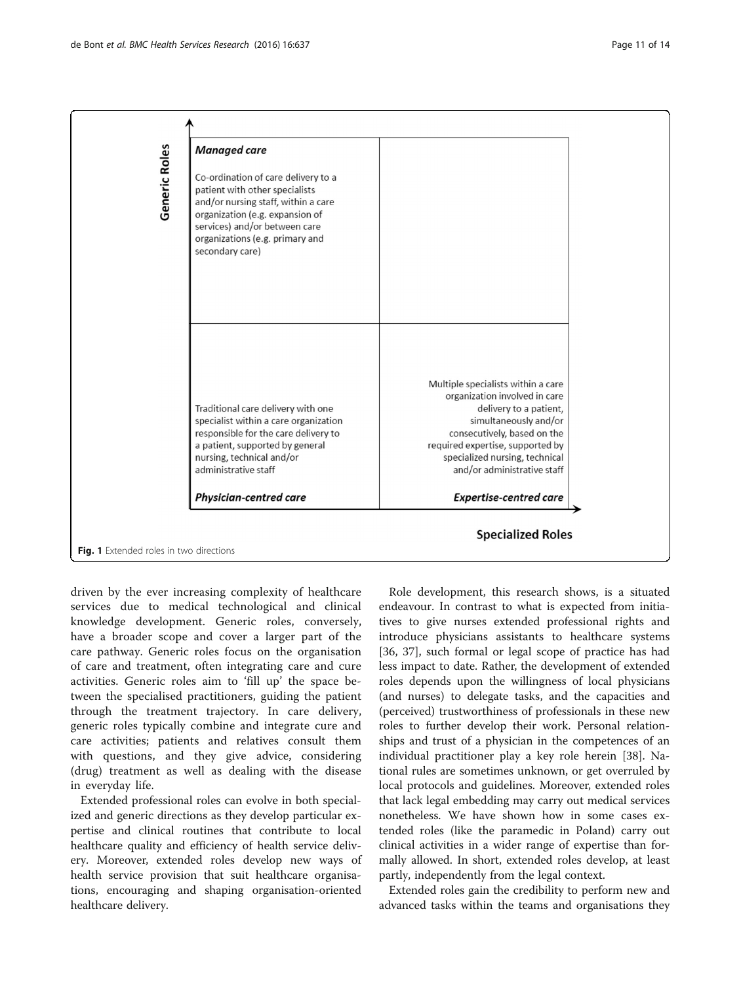<span id="page-10-0"></span>

driven by the ever increasing complexity of healthcare services due to medical technological and clinical knowledge development. Generic roles, conversely, have a broader scope and cover a larger part of the care pathway. Generic roles focus on the organisation of care and treatment, often integrating care and cure activities. Generic roles aim to 'fill up' the space between the specialised practitioners, guiding the patient through the treatment trajectory. In care delivery, generic roles typically combine and integrate cure and care activities; patients and relatives consult them with questions, and they give advice, considering (drug) treatment as well as dealing with the disease in everyday life.

Extended professional roles can evolve in both specialized and generic directions as they develop particular expertise and clinical routines that contribute to local healthcare quality and efficiency of health service delivery. Moreover, extended roles develop new ways of health service provision that suit healthcare organisations, encouraging and shaping organisation-oriented healthcare delivery.

Role development, this research shows, is a situated endeavour. In contrast to what is expected from initiatives to give nurses extended professional rights and introduce physicians assistants to healthcare systems [[36, 37\]](#page-13-0), such formal or legal scope of practice has had less impact to date. Rather, the development of extended roles depends upon the willingness of local physicians (and nurses) to delegate tasks, and the capacities and (perceived) trustworthiness of professionals in these new roles to further develop their work. Personal relationships and trust of a physician in the competences of an individual practitioner play a key role herein [[38](#page-13-0)]. National rules are sometimes unknown, or get overruled by local protocols and guidelines. Moreover, extended roles that lack legal embedding may carry out medical services nonetheless. We have shown how in some cases extended roles (like the paramedic in Poland) carry out clinical activities in a wider range of expertise than formally allowed. In short, extended roles develop, at least partly, independently from the legal context.

Extended roles gain the credibility to perform new and advanced tasks within the teams and organisations they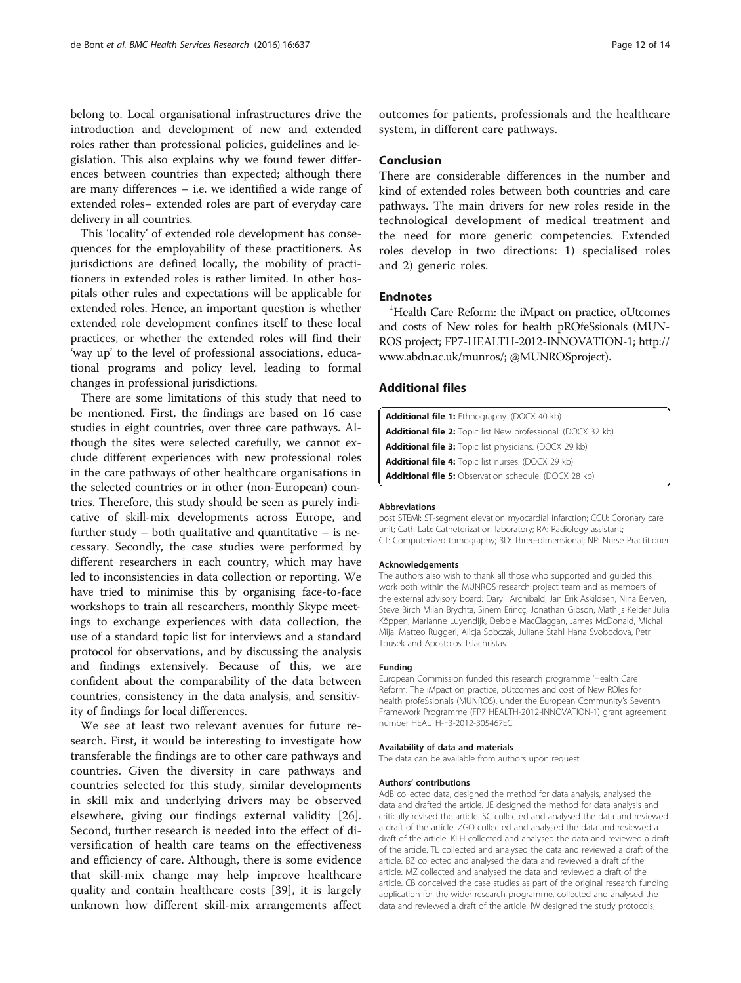<span id="page-11-0"></span>belong to. Local organisational infrastructures drive the introduction and development of new and extended roles rather than professional policies, guidelines and legislation. This also explains why we found fewer differences between countries than expected; although there are many differences – i.e. we identified a wide range of extended roles– extended roles are part of everyday care delivery in all countries.

This 'locality' of extended role development has consequences for the employability of these practitioners. As jurisdictions are defined locally, the mobility of practitioners in extended roles is rather limited. In other hospitals other rules and expectations will be applicable for extended roles. Hence, an important question is whether extended role development confines itself to these local practices, or whether the extended roles will find their 'way up' to the level of professional associations, educational programs and policy level, leading to formal changes in professional jurisdictions.

There are some limitations of this study that need to be mentioned. First, the findings are based on 16 case studies in eight countries, over three care pathways. Although the sites were selected carefully, we cannot exclude different experiences with new professional roles in the care pathways of other healthcare organisations in the selected countries or in other (non-European) countries. Therefore, this study should be seen as purely indicative of skill-mix developments across Europe, and further study  $-$  both qualitative and quantitative  $-$  is necessary. Secondly, the case studies were performed by different researchers in each country, which may have led to inconsistencies in data collection or reporting. We have tried to minimise this by organising face-to-face workshops to train all researchers, monthly Skype meetings to exchange experiences with data collection, the use of a standard topic list for interviews and a standard protocol for observations, and by discussing the analysis and findings extensively. Because of this, we are confident about the comparability of the data between countries, consistency in the data analysis, and sensitivity of findings for local differences.

We see at least two relevant avenues for future research. First, it would be interesting to investigate how transferable the findings are to other care pathways and countries. Given the diversity in care pathways and countries selected for this study, similar developments in skill mix and underlying drivers may be observed elsewhere, giving our findings external validity [\[26](#page-12-0)]. Second, further research is needed into the effect of diversification of health care teams on the effectiveness and efficiency of care. Although, there is some evidence that skill-mix change may help improve healthcare quality and contain healthcare costs [[39\]](#page-13-0), it is largely unknown how different skill-mix arrangements affect

outcomes for patients, professionals and the healthcare system, in different care pathways.

# Conclusion

There are considerable differences in the number and kind of extended roles between both countries and care pathways. The main drivers for new roles reside in the technological development of medical treatment and the need for more generic competencies. Extended roles develop in two directions: 1) specialised roles and 2) generic roles.

# **Endnotes**

<sup>1</sup>Health Care Reform: the iMpact on practice, oUtcomes and costs of New roles for health pROfeSsionals (MUN-ROS project; FP7-HEALTH-2012-INNOVATION-1; [http://](http://www.abdn.ac.uk/munros/) [www.abdn.ac.uk/munros/](http://www.abdn.ac.uk/munros/); @MUNROSproject).

# Additional files

| <b>Additional file 1:</b> Ethnography. (DOCX 40 kb)                 |
|---------------------------------------------------------------------|
| <b>Additional file 2:</b> Topic list New professional. (DOCX 32 kb) |
| <b>Additional file 3:</b> Topic list physicians. (DOCX 29 kb)       |
| <b>Additional file 4:</b> Topic list nurses. (DOCX 29 kb)           |
| <b>Additional file 5:</b> Observation schedule. (DOCX 28 kb)        |

#### Abbreviations

post STEMI: ST-segment elevation myocardial infarction; CCU: Coronary care unit; Cath Lab: Catheterization laboratory; RA: Radiology assistant; CT: Computerized tomography; 3D: Three-dimensional; NP: Nurse Practitioner

#### Acknowledgements

The authors also wish to thank all those who supported and guided this work both within the MUNROS research project team and as members of the external advisory board: Daryll Archibald, Jan Erik Askildsen, Nina Berven, Steve Birch Milan Brychta, Sinem Erincç, Jonathan Gibson, Mathijs Kelder Julia Köppen, Marianne Luyendijk, Debbie MacClaggan, James McDonald, Michal Mijal Matteo Ruggeri, Alicja Sobczak, Juliane Stahl Hana Svobodova, Petr Tousek and Apostolos Tsiachristas.

#### Funding

European Commission funded this research programme 'Health Care Reform: The iMpact on practice, oUtcomes and cost of New ROles for health profeSsionals (MUNROS), under the European Community's Seventh Framework Programme (FP7 HEALTH-2012-INNOVATION-1) grant agreement number HEALTH-F3-2012-305467EC.

#### Availability of data and materials

The data can be available from authors upon request.

#### Authors' contributions

AdB collected data, designed the method for data analysis, analysed the data and drafted the article. JE designed the method for data analysis and critically revised the article. SC collected and analysed the data and reviewed a draft of the article. ZGO collected and analysed the data and reviewed a draft of the article. KLH collected and analysed the data and reviewed a draft of the article. TL collected and analysed the data and reviewed a draft of the article. BZ collected and analysed the data and reviewed a draft of the article. MZ collected and analysed the data and reviewed a draft of the article. CB conceived the case studies as part of the original research funding application for the wider research programme, collected and analysed the data and reviewed a draft of the article. IW designed the study protocols,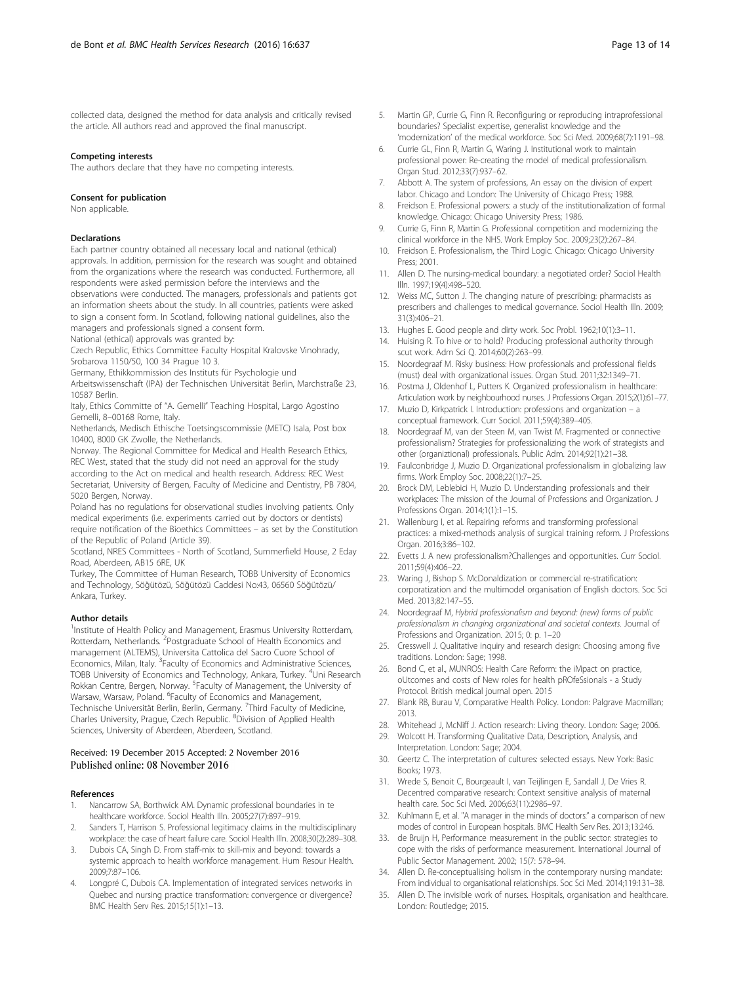<span id="page-12-0"></span>collected data, designed the method for data analysis and critically revised the article. All authors read and approved the final manuscript.

#### Competing interests

The authors declare that they have no competing interests.

#### Consent for publication

Non applicable.

#### Declarations

Each partner country obtained all necessary local and national (ethical) approvals. In addition, permission for the research was sought and obtained from the organizations where the research was conducted. Furthermore, all respondents were asked permission before the interviews and the observations were conducted. The managers, professionals and patients got an information sheets about the study. In all countries, patients were asked

to sign a consent form. In Scotland, following national guidelines, also the managers and professionals signed a consent form.

National (ethical) approvals was granted by:

Czech Republic, Ethics Committee Faculty Hospital Kralovske Vinohrady, Srobarova 1150/50, 100 34 Prague 10 3.

Germany, Ethikkommission des Instituts für Psychologie und

Arbeitswissenschaft (IPA) der Technischen Universität Berlin, Marchstraße 23, 10587 Berlin.

Italy, Ethics Committe of "A. Gemelli" Teaching Hospital, Largo Agostino Gemelli, 8–00168 Rome, Italy.

Netherlands, Medisch Ethische Toetsingscommissie (METC) Isala, Post box 10400, 8000 GK Zwolle, the Netherlands.

Norway. The Regional Committee for Medical and Health Research Ethics, REC West, stated that the study did not need an approval for the study according to the Act on medical and health research. Address: REC West Secretariat, University of Bergen, Faculty of Medicine and Dentistry, PB 7804, 5020 Bergen, Norway.

Poland has no regulations for observational studies involving patients. Only medical experiments (i.e. experiments carried out by doctors or dentists) require notification of the Bioethics Committees – as set by the Constitution of the Republic of Poland (Article 39).

Scotland, NRES Committees - North of Scotland, Summerfield House, 2 Eday Road, Aberdeen, AB15 6RE, UK

Turkey, The Committee of Human Research, TOBB University of Economics and Technology, Söğütözü, Söğütözü Caddesi No:43, 06560 Söğütözü/ Ankara, Turkey.

#### Author details

<sup>1</sup>Institute of Health Policy and Management, Erasmus University Rotterdam, Rotterdam, Netherlands. <sup>2</sup>Postgraduate School of Health Economics and management (ALTEMS), Universita Cattolica del Sacro Cuore School of Economics, Milan, Italy. <sup>3</sup> Faculty of Economics and Administrative Sciences, TOBB University of Economics and Technology, Ankara, Turkey. <sup>4</sup>Uni Research Rokkan Centre, Bergen, Norway. <sup>5</sup> Faculty of Management, the University of Warsaw, Warsaw, Poland. <sup>6</sup>Faculty of Economics and Management, Technische Universität Berlin, Berlin, Germany. <sup>7</sup>Third Faculty of Medicine, Charles University, Prague, Czech Republic. <sup>8</sup> Division of Applied Health Sciences, University of Aberdeen, Aberdeen, Scotland.

# Received: 19 December 2015 Accepted: 2 November 2016

# References

- 1. Nancarrow SA, Borthwick AM. Dynamic professional boundaries in te healthcare workforce. Sociol Health Illn. 2005;27(7):897–919.
- 2. Sanders T, Harrison S. Professional legitimacy claims in the multidisciplinary workplace: the case of heart failure care. Sociol Health Illn. 2008;30(2):289–308.
- 3. Dubois CA, Singh D. From staff-mix to skill-mix and beyond: towards a systemic approach to health workforce management. Hum Resour Health. 2009;7:87–106.
- 4. Longpré C, Dubois CA. Implementation of integrated services networks in Quebec and nursing practice transformation: convergence or divergence? BMC Health Serv Res. 2015;15(1):1–13.
- 5. Martin GP, Currie G, Finn R. Reconfiguring or reproducing intraprofessional boundaries? Specialist expertise, generalist knowledge and the 'modernization' of the medical workforce. Soc Sci Med. 2009;68(7):1191–98.
- 6. Currie GL, Finn R, Martin G, Waring J. Institutional work to maintain professional power: Re-creating the model of medical professionalism. Organ Stud. 2012;33(7):937–62.
- 7. Abbott A. The system of professions, An essay on the division of expert labor. Chicago and London: The University of Chicago Press; 1988.
- 8. Freidson E. Professional powers: a study of the institutionalization of formal knowledge. Chicago: Chicago University Press; 1986.
- 9. Currie G, Finn R, Martin G. Professional competition and modernizing the clinical workforce in the NHS. Work Employ Soc. 2009;23(2):267–84.
- 10. Freidson E. Professionalism, the Third Logic. Chicago: Chicago University Press; 2001.
- 11. Allen D. The nursing-medical boundary: a negotiated order? Sociol Health Illn. 1997;19(4):498–520.
- 12. Weiss MC, Sutton J. The changing nature of prescribing: pharmacists as prescribers and challenges to medical governance. Sociol Health Illn. 2009; 31(3):406–21.
- 13. Hughes E. Good people and dirty work. Soc Probl. 1962;10(1):3–11.
- 14. Huising R. To hive or to hold? Producing professional authority through scut work. Adm Sci Q. 2014;60(2):263–99.
- 15. Noordegraaf M. Risky business: How professionals and professional fields (must) deal with organizational issues. Organ Stud. 2011;32:1349–71.
- 16. Postma J, Oldenhof L, Putters K. Organized professionalism in healthcare: Articulation work by neighbourhood nurses. J Professions Organ. 2015;2(1):61–77.
- 17. Muzio D, Kirkpatrick I. Introduction: professions and organization a conceptual framework. Curr Sociol. 2011;59(4):389–405.
- 18. Noordegraaf M, van der Steen M, van Twist M. Fragmented or connective professionalism? Strategies for professionalizing the work of strategists and other (organiztional) professionals. Public Adm. 2014;92(1):21–38.
- 19. Faulconbridge J, Muzio D. Organizational professionalism in globalizing law firms. Work Employ Soc. 2008;22(1):7–25.
- 20. Brock DM, Leblebici H, Muzio D. Understanding professionals and their workplaces: The mission of the Journal of Professions and Organization. J Professions Organ. 2014;1(1):1–15.
- 21. Wallenburg I, et al. Repairing reforms and transforming professional practices: a mixed-methods analysis of surgical training reform. J Professions Organ. 2016;3:86–102.
- 22. Evetts J. A new professionalism?Challenges and opportunities. Curr Sociol. 2011;59(4):406–22.
- 23. Waring J, Bishop S. McDonaldization or commercial re-stratification: corporatization and the multimodel organisation of English doctors. Soc Sci Med. 2013;82:147–55.
- 24. Noordegraaf M, Hybrid professionalism and beyond: (new) forms of public professionalism in changing organizational and societal contexts. Journal of Professions and Organization. 2015; 0: p. 1–20
- 25. Cresswell J. Qualitative inquiry and research design: Choosing among five traditions. London: Sage; 1998.
- 26. Bond C, et al., MUNROS: Health Care Reform: the iMpact on practice, oUtcomes and costs of New roles for health pROfeSsionals - a Study Protocol. British medical journal open. 2015
- 27. Blank RB, Burau V, Comparative Health Policy. London: Palgrave Macmillan; 2013.
- 28. Whitehead J, McNiff J. Action research: Living theory. London: Sage; 2006.
- 29. Wolcott H. Transforming Qualitative Data, Description, Analysis, and Interpretation. London: Sage; 2004.
- 30. Geertz C. The interpretation of cultures: selected essays. New York: Basic Books; 1973.
- 31. Wrede S, Benoit C, Bourgeault I, van Teijlingen E, Sandall J, De Vries R. Decentred comparative research: Context sensitive analysis of maternal health care. Soc Sci Med. 2006;63(11):2986–97.
- 32. Kuhlmann E, et al. "A manager in the minds of doctors:" a comparison of new modes of control in European hospitals. BMC Health Serv Res. 2013;13:246.
- 33. de Bruijn H, Performance measurement in the public sector: strategies to cope with the risks of performance measurement. International Journal of Public Sector Management. 2002; 15(7: 578–94.
- 34. Allen D. Re-conceptualising holism in the contemporary nursing mandate: From individual to organisational relationships. Soc Sci Med. 2014;119:131–38.
- 35. Allen D. The invisible work of nurses. Hospitals, organisation and healthcare. London: Routledge; 2015.